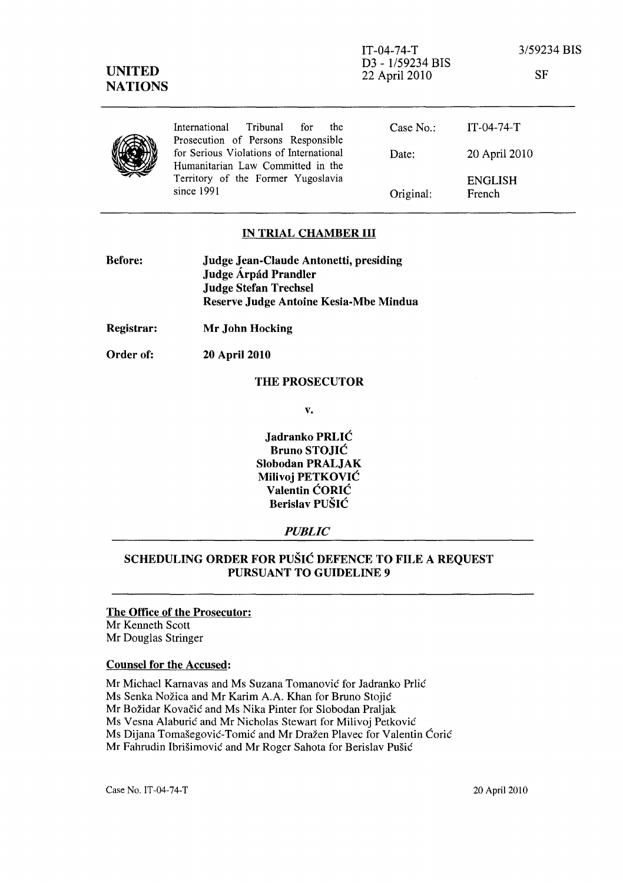|  | International Tribunal for<br>the<br>Prosecution of Persons Responsible      | Case $No.$ : | $IT-(04-74-T)$           |
|--|------------------------------------------------------------------------------|--------------|--------------------------|
|  | for Serious Violations of International<br>Humanitarian Law Committed in the | Date:        | 20 April 2010            |
|  | Territory of the Former Yugoslavia<br>since 1991                             | Original:    | <b>ENGLISH</b><br>French |

### IN TRIAL CHAMBER III

| <b>Before:</b> | <b>Judge Jean-Claude Antonetti, presiding</b> |  |
|----------------|-----------------------------------------------|--|
|                | Judge Árpád Prandler                          |  |
|                | <b>Judge Stefan Trechsel</b>                  |  |
|                | Reserve Judge Antoine Kesia-Mbe Mindua        |  |

Registrar: Mr John Hocking

Order of: 20 April 2010

#### THE PROSECUTOR

v.

Jadranko PRLIC Bruno STOJIC Slobodan PRALJAK Milivoj PETKOVIC Valentin CORIC Berislav PUSIC

### *PUBLIC*

# SCHEDULING ORDER FOR PUSIC DEFENCE TO FILE A REQUEST PURSUANT TO GUIDELINE 9

# The Office of the Prosecutor:

Mr Kenneth Scott Mr Douglas Stringer

### Counsel for the Accused:

Mr Michael Kamavas and Ms Suzana Tomanovie for Jadranko Prlic Ms Senka Nožica and Mr Karim A.A. Khan for Bruno Stojić Mr Božidar Kovačić and Ms Nika Pinter for Slobodan Praljak Ms Vesna Alaburić and Mr Nicholas Stewart for Milivoj Petković Ms Dijana Tomašegović-Tomić and Mr Dražen Plavec for Valentin Ćorić Mr Fahrudin Ibrišimović and Mr Roger Sahota for Berislav Pušić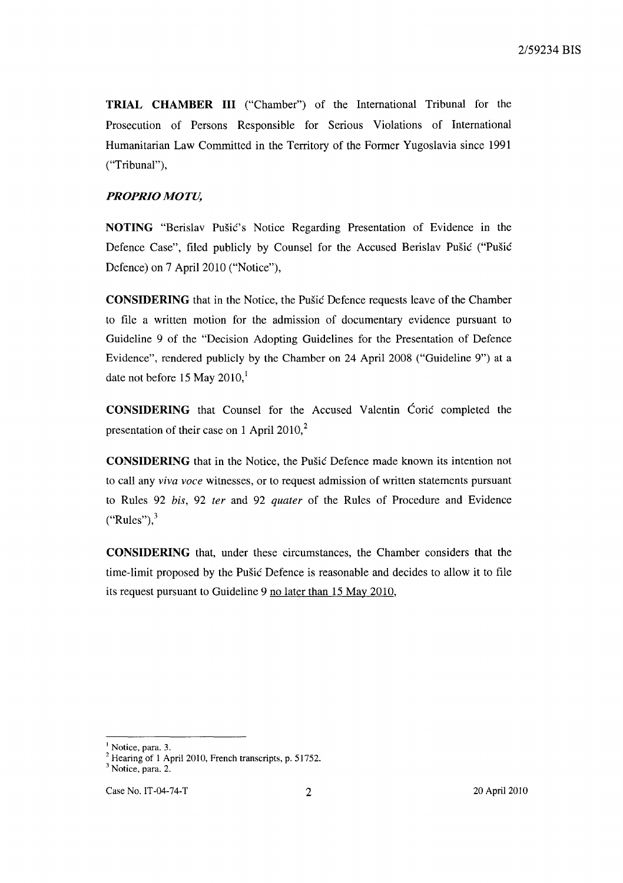**TRIAL CHAMBER III** ("Chamber") of the International Tribunal for the Prosecution of Persons Responsible for Serious Violations of International Humanitarian Law Committed in the Territory of the Former Yugoslavia since 1991 ("Tribunal"),

## *PROPRIO MOTU,*

**NOTING** "Berislav Pusic's Notice Regarding Presentation of Evidence in the Defence Case", filed publicly by Counsel for the Accused Berislav Pusic ("Pusic Defence) on 7 April 2010 ("Notice"),

**CONSIDERING** that in the Notice, the Pusic Defence requests leave of the Chamber to file a written motion for the admission of documentary evidence pursuant to Guideline 9 of the "Decision Adopting Guidelines for the Presentation of Defence Evidence", rendered publicly by the Chamber on 24 April 2008 ("Guideline 9") at a date not before 15 May  $2010<sup>1</sup>$ 

**CONSIDERING** that Counsel for the Accused Valentin Coric completed the presentation of their case on 1 April 2010, $2$ 

**CONSIDERING** that in the Notice, the Pusic Defence made known its intention not to call any *viva voce* witnesses, or to request admission of written statements pursuant to Rules 92 *his,* 92 *ter* and 92 *quater* of the Rules of Procedure and Evidence  $("Rules"),$ 

**CONSIDERING** that, under these circumstances, the Chamber considers that the time-limit proposed by the Pusic Defence is reasonable and decides to allow it to file its request pursuant to Guideline 9 no later than 15 May 2010,

<sup>&</sup>lt;sup>1</sup> Notice, para. 3.

 $2$  Hearing of 1 April 2010, French transcripts, p. 51752.

<sup>&</sup>lt;sup>3</sup> Notice, para. 2.

Case No. IT-04-74-T 2 20 April 2010